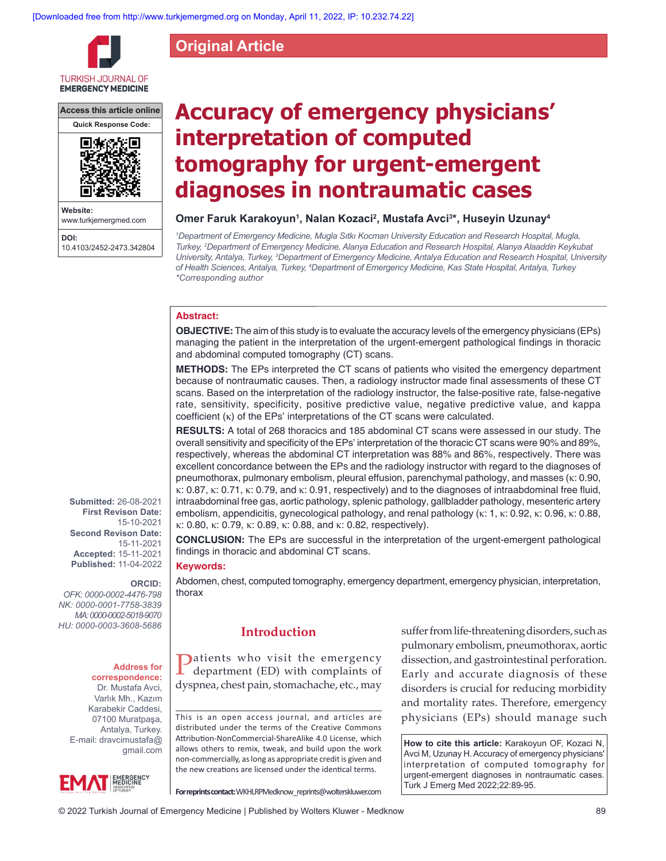**Original Article**

**TURKISH JOURNAL OF EMERGENCY MEDICINE** 

**Access this article online**



**Website:** www.turkjemergmed.com **DOI:** 10.4103/2452-2473.342804

# **Accuracy of emergency physicians' interpretation of computed tomography for urgent‑emergent diagnoses in nontraumatic cases**

# Omer Faruk Karakoyun<sup>1</sup>, Nalan Kozaci<sup>2</sup>, Mustafa Avci<sup>3</sup>\*, Huseyin Uzunay<sup>4</sup>

*1 Department of Emergency Medicine, Mugla Sıtkı Kocman University Education and Research Hospital, Mugla, Turkey, 2 Department of Emergency Medicine, Alanya Education and Research Hospital, Alanya Alaaddin Keykubat*  University, Antalya, Turkey, <sup>3</sup>Department of Emergency Medicine, Antalya Education and Research Hospital, University *of Health Sciences, Antalya, Turkey, 4 Department of Emergency Medicine, Kas State Hospital, Antalya, Turkey \*Corresponding author*

# **Abstract:**

**OBJECTIVE:** The aim of this study is to evaluate the accuracy levels of the emergency physicians (EPs) managing the patient in the interpretation of the urgent-emergent pathological findings in thoracic and abdominal computed tomography (CT) scans.

**METHODS:** The EPs interpreted the CT scans of patients who visited the emergency department because of nontraumatic causes. Then, a radiology instructor made final assessments of these CT scans. Based on the interpretation of the radiology instructor, the false-positive rate, false-negative rate, sensitivity, specificity, positive predictive value, negative predictive value, and kappa coefficient (κ) of the EPs' interpretations of the CT scans were calculated.

**RESULTS:** A total of 268 thoracics and 185 abdominal CT scans were assessed in our study. The overall sensitivity and specificity of the EPs' interpretation of the thoracic CT scans were 90% and 89%, respectively, whereas the abdominal CT interpretation was 88% and 86%, respectively. There was excellent concordance between the EPs and the radiology instructor with regard to the diagnoses of pneumothorax, pulmonary embolism, pleural effusion, parenchymal pathology, and masses (κ: 0.90, κ: 0.87, κ: 0.71, κ: 0.79, and κ: 0.91, respectively) and to the diagnoses of intraabdominal free fluid, intraabdominal free gas, aortic pathology, splenic pathology, gallbladder pathology, mesenteric artery embolism, appendicitis, gynecological pathology, and renal pathology (κ: 1, κ: 0.92, κ: 0.96, κ: 0.88, κ: 0.80, κ: 0.79, κ: 0.89, κ: 0.88, and κ: 0.82, respectively).

**CONCLUSION:** The EPs are successful in the interpretation of the urgent-emergent pathological findings in thoracic and abdominal CT scans.

#### **Keywords:**

Abdomen, chest, computed tomography, emergency department, emergency physician, interpretation, thorax

# **Introduction**

**Patients** who visit the emergency department (ED) with complaints of dyspnea, chest pain, stomachache, etc., may

This is an open access journal, and articles are distributed under the terms of the Creative Commons Attribution‑NonCommercial‑ShareAlike 4.0 License, which allows others to remix, tweak, and build upon the work non‑commercially, as long as appropriate credit is given and the new creations are licensed under the identical terms.

suffer from life-threatening disorders, such as pulmonary embolism, pneumothorax, aortic dissection, and gastrointestinal perforation. Early and accurate diagnosis of these disorders is crucial for reducing morbidity and mortality rates. Therefore, emergency physicians (EPs) should manage such

**How to cite this article:** Karakoyun OF, Kozaci N, Avci M, Uzunay H. Accuracy of emergency physicians' interpretation of computed tomography for urgent-emergent diagnoses in nontraumatic cases. Turk J Emerg Med 2022;22:89-95.

**ORCID:** 15-10-2021 **Second Revison Date:**  15-11-2021 **Accepted:** 15-11-2021 **Published:** 11-04-2022

**Submitted:** 26-08-2021 **First Revison Date:**

*OFK: 0000‑0002‑4476‑798 NK: 0000‑0001‑7758‑3839 MA: 0000‑0002‑5018‑9070*

*HU: 0000‑0003‑3608‑5686*

#### **Address for correspondence:**

Dr. Mustafa Avci, Varlık Mh., Kazım Karabekir Caddesi, 07100 Muratpaşa, Antalya, Turkey. E-mail: dravcimustafa@ gmail.com



**For reprints contact:** WKHLRPMedknow\_reprints@wolterskluwer.com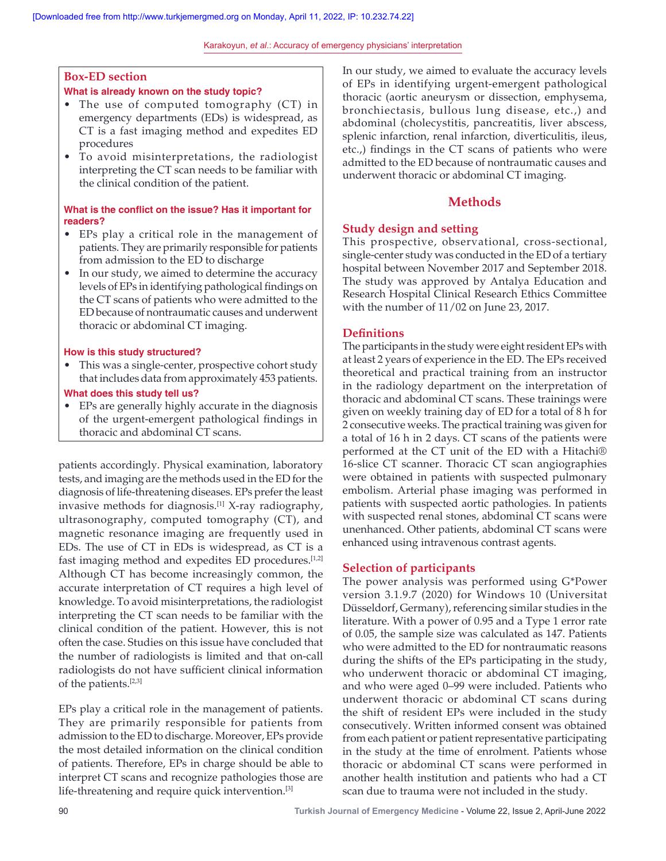Karakoyun, *et al*.: Accuracy of emergency physicians' interpretation

# **Box‑ED section**

## **What is already known on the study topic?**

- The use of computed tomography (CT) in emergency departments (EDs) is widespread, as CT is a fast imaging method and expedites ED procedures
- To avoid misinterpretations, the radiologist interpreting the CT scan needs to be familiar with the clinical condition of the patient.

# **What is the conflict on the issue? Has it important for readers?**

- EPs play a critical role in the management of patients. They are primarily responsible for patients from admission to the ED to discharge
- In our study, we aimed to determine the accuracy levels of EPs in identifying pathological findings on the CT scans of patients who were admitted to the ED because of nontraumatic causes and underwent thoracic or abdominal CT imaging.

## **How is this study structured?**

- This was a single-center, prospective cohort study that includes data from approximately 453 patients.
- **What does this study tell us?**
- EPs are generally highly accurate in the diagnosis of the urgent‑emergent pathological findings in thoracic and abdominal CT scans.

patients accordingly. Physical examination, laboratory tests, and imaging are the methods used in the ED for the diagnosis of life-threatening diseases. EPs prefer the least invasive methods for diagnosis.<sup>[1]</sup> X-ray radiography, ultrasonography, computed tomography (CT), and magnetic resonance imaging are frequently used in EDs. The use of CT in EDs is widespread, as CT is a fast imaging method and expedites ED procedures.[1,2] Although CT has become increasingly common, the accurate interpretation of CT requires a high level of knowledge. To avoid misinterpretations, the radiologist interpreting the CT scan needs to be familiar with the clinical condition of the patient. However, this is not often the case. Studies on this issue have concluded that the number of radiologists is limited and that on-call radiologists do not have sufficient clinical information of the patients.[2,3]

EPs play a critical role in the management of patients. They are primarily responsible for patients from admission to the ED to discharge. Moreover, EPs provide the most detailed information on the clinical condition of patients. Therefore, EPs in charge should be able to interpret CT scans and recognize pathologies those are life-threatening and require quick intervention.<sup>[3]</sup>

In our study, we aimed to evaluate the accuracy levels of EPs in identifying urgent‑emergent pathological thoracic (aortic aneurysm or dissection, emphysema, bronchiectasis, bullous lung disease, etc.,) and abdominal (cholecystitis, pancreatitis, liver abscess, splenic infarction, renal infarction, diverticulitis, ileus, etc.,) findings in the CT scans of patients who were admitted to the ED because of nontraumatic causes and underwent thoracic or abdominal CT imaging.

# **Methods**

# **Study design and setting**

This prospective, observational, cross-sectional, single-center study was conducted in the ED of a tertiary hospital between November 2017 and September 2018. The study was approved by Antalya Education and Research Hospital Clinical Research Ethics Committee with the number of 11/02 on June 23, 2017.

# **Definitions**

The participants in the study were eight resident EPs with at least 2 years of experience in the ED. The EPs received theoretical and practical training from an instructor in the radiology department on the interpretation of thoracic and abdominal CT scans. These trainings were given on weekly training day of ED for a total of 8 h for 2 consecutive weeks. The practical training was given for a total of 16 h in 2 days. CT scans of the patients were performed at the CT unit of the ED with a Hitachi® 16-slice CT scanner. Thoracic CT scan angiographies were obtained in patients with suspected pulmonary embolism. Arterial phase imaging was performed in patients with suspected aortic pathologies. In patients with suspected renal stones, abdominal CT scans were unenhanced. Other patients, abdominal CT scans were enhanced using intravenous contrast agents.

# **Selection of participants**

The power analysis was performed using G\*Power version 3.1.9.7 (2020) for Windows 10 (Universitat Düsseldorf, Germany), referencing similar studies in the literature. With a power of 0.95 and a Type 1 error rate of 0.05, the sample size was calculated as 147. Patients who were admitted to the ED for nontraumatic reasons during the shifts of the EPs participating in the study, who underwent thoracic or abdominal CT imaging, and who were aged 0–99 were included. Patients who underwent thoracic or abdominal CT scans during the shift of resident EPs were included in the study consecutively. Written informed consent was obtained from each patient or patient representative participating in the study at the time of enrolment. Patients whose thoracic or abdominal CT scans were performed in another health institution and patients who had a CT scan due to trauma were not included in the study.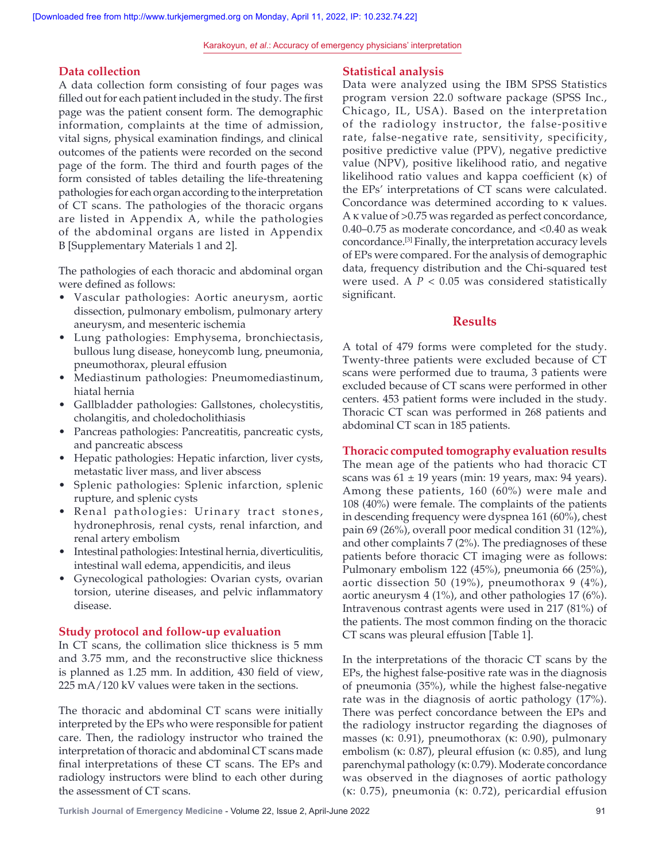## **Data collection**

A data collection form consisting of four pages was filled out for each patient included in the study. The first page was the patient consent form. The demographic information, complaints at the time of admission, vital signs, physical examination findings, and clinical outcomes of the patients were recorded on the second page of the form. The third and fourth pages of the form consisted of tables detailing the life-threatening pathologies for each organ according to the interpretation of CT scans. The pathologies of the thoracic organs are listed in Appendix A, while the pathologies of the abdominal organs are listed in Appendix B [Supplementary Materials 1 and 2].

The pathologies of each thoracic and abdominal organ were defined as follows:

- Vascular pathologies: Aortic aneurysm, aortic dissection, pulmonary embolism, pulmonary artery aneurysm, and mesenteric ischemia
- Lung pathologies: Emphysema, bronchiectasis, bullous lung disease, honeycomb lung, pneumonia, pneumothorax, pleural effusion
- Mediastinum pathologies: Pneumomediastinum, hiatal hernia
- Gallbladder pathologies: Gallstones, cholecystitis, cholangitis, and choledocholithiasis
- Pancreas pathologies: Pancreatitis, pancreatic cysts, and pancreatic abscess
- Hepatic pathologies: Hepatic infarction, liver cysts, metastatic liver mass, and liver abscess
- Splenic pathologies: Splenic infarction, splenic rupture, and splenic cysts
- Renal pathologies: Urinary tract stones, hydronephrosis, renal cysts, renal infarction, and renal artery embolism
- Intestinal pathologies: Intestinal hernia, diverticulitis, intestinal wall edema, appendicitis, and ileus
- Gynecological pathologies: Ovarian cysts, ovarian torsion, uterine diseases, and pelvic inflammatory disease.

## **Study protocol and follow‑up evaluation**

In CT scans, the collimation slice thickness is 5 mm and 3.75 mm, and the reconstructive slice thickness is planned as 1.25 mm. In addition, 430 field of view, 225 mA/120 kV values were taken in the sections.

The thoracic and abdominal CT scans were initially interpreted by the EPs who were responsible for patient care. Then, the radiology instructor who trained the interpretation of thoracic and abdominal CT scans made final interpretations of these CT scans. The EPs and radiology instructors were blind to each other during the assessment of CT scans.

## **Statistical analysis**

Data were analyzed using the IBM SPSS Statistics program version 22.0 software package (SPSS Inc., Chicago, IL, USA). Based on the interpretation of the radiology instructor, the false-positive rate, false-negative rate, sensitivity, specificity, positive predictive value (PPV), negative predictive value (NPV), positive likelihood ratio, and negative likelihood ratio values and kappa coefficient (κ) of the EPs' interpretations of CT scans were calculated. Concordance was determined according to κ values. A κ value of >0.75 was regarded as perfect concordance, 0.40–0.75 as moderate concordance, and <0.40 as weak concordance.[3] Finally, the interpretation accuracy levels of EPs were compared. For the analysis of demographic data, frequency distribution and the Chi-squared test were used. A *P* < 0.05 was considered statistically significant.

## **Results**

A total of 479 forms were completed for the study. Twenty-three patients were excluded because of CT scans were performed due to trauma, 3 patients were excluded because of CT scans were performed in other centers. 453 patient forms were included in the study. Thoracic CT scan was performed in 268 patients and abdominal CT scan in 185 patients.

## **Thoracic computed tomography evaluation results**

The mean age of the patients who had thoracic CT scans was  $61 \pm 19$  years (min: 19 years, max: 94 years). Among these patients, 160 (60%) were male and 108 (40%) were female. The complaints of the patients in descending frequency were dyspnea 161 (60%), chest pain 69 (26%), overall poor medical condition 31 (12%), and other complaints 7 (2%). The prediagnoses of these patients before thoracic CT imaging were as follows: Pulmonary embolism 122 (45%), pneumonia 66 (25%), aortic dissection 50 (19%), pneumothorax 9 (4%), aortic aneurysm 4 (1%), and other pathologies 17 (6%). Intravenous contrast agents were used in 217 (81%) of the patients. The most common finding on the thoracic CT scans was pleural effusion [Table 1].

In the interpretations of the thoracic CT scans by the EPs, the highest false‑positive rate was in the diagnosis of pneumonia (35%), while the highest false-negative rate was in the diagnosis of aortic pathology (17%). There was perfect concordance between the EPs and the radiology instructor regarding the diagnoses of masses (κ: 0.91), pneumothorax (κ: 0.90), pulmonary embolism (κ: 0.87), pleural effusion (κ: 0.85), and lung parenchymal pathology (κ: 0.79). Moderate concordance was observed in the diagnoses of aortic pathology (κ: 0.75), pneumonia (κ: 0.72), pericardial effusion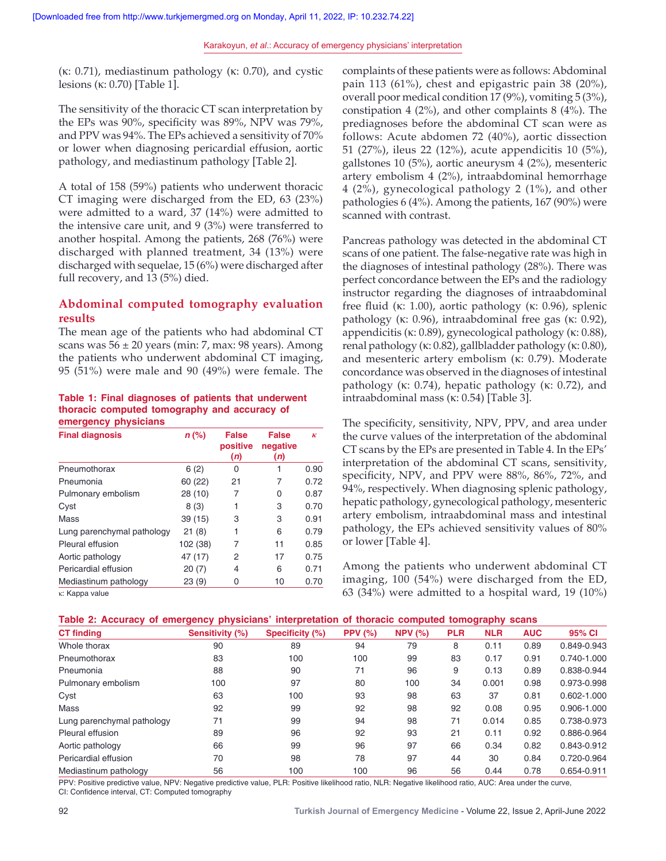(κ: 0.71), mediastinum pathology (κ: 0.70), and cystic lesions (κ: 0.70) [Table 1].

The sensitivity of the thoracic CT scan interpretation by the EPs was 90%, specificity was 89%, NPV was 79%, and PPV was 94%. The EPs achieved a sensitivity of 70% or lower when diagnosing pericardial effusion, aortic pathology, and mediastinum pathology [Table 2].

A total of 158 (59%) patients who underwent thoracic CT imaging were discharged from the ED, 63 (23%) were admitted to a ward, 37 (14%) were admitted to the intensive care unit, and 9 (3%) were transferred to another hospital. Among the patients, 268 (76%) were discharged with planned treatment, 34 (13%) were discharged with sequelae, 15 (6%) were discharged after full recovery, and 13 (5%) died.

# **Abdominal computed tomography evaluation results**

The mean age of the patients who had abdominal CT scans was  $56 \pm 20$  years (min: 7, max: 98 years). Among the patients who underwent abdominal CT imaging, 95 (51%) were male and 90 (49%) were female. The

#### **Table 1: Final diagnoses of patients that underwent thoracic computed tomography and accuracy of emergency physicians**

| <b>Final diagnosis</b>     | $n$ (%)  | <b>False</b><br>positive<br>(n) | <b>False</b><br>negative<br>(n) | к    |
|----------------------------|----------|---------------------------------|---------------------------------|------|
| Pneumothorax               | 6(2)     | 0                               |                                 | 0.90 |
| Pneumonia                  | 60 (22)  | 21                              | 7                               | 0.72 |
| Pulmonary embolism         | 28 (10)  | 7                               | 0                               | 0.87 |
| Cyst                       | 8(3)     | 1                               | 3                               | 0.70 |
| Mass                       | 39(15)   | 3                               | 3                               | 0.91 |
| Lung parenchymal pathology | 21(8)    | 1                               | 6                               | 0.79 |
| Pleural effusion           | 102 (38) | 7                               | 11                              | 0.85 |
| Aortic pathology           | 47 (17)  | 2                               | 17                              | 0.75 |
| Pericardial effusion       | 20(7)    | 4                               | 6                               | 0.71 |
| Mediastinum pathology      | 23(9)    | 0                               | 10                              | 0.70 |

κ: Kappa value

complaints of these patients were as follows: Abdominal pain 113 (61%), chest and epigastric pain 38 (20%), overall poor medical condition 17 (9%), vomiting 5 (3%), constipation 4 (2%), and other complaints 8 (4%). The prediagnoses before the abdominal CT scan were as follows: Acute abdomen 72 (40%), aortic dissection 51 (27%), ileus 22 (12%), acute appendicitis 10 (5%), gallstones 10 (5%), aortic aneurysm 4 (2%), mesenteric artery embolism 4 (2%), intraabdominal hemorrhage 4 (2%), gynecological pathology 2 (1%), and other pathologies 6 (4%). Among the patients, 167 (90%) were scanned with contrast.

Pancreas pathology was detected in the abdominal CT scans of one patient. The false-negative rate was high in the diagnoses of intestinal pathology (28%). There was perfect concordance between the EPs and the radiology instructor regarding the diagnoses of intraabdominal free fluid (κ: 1.00), aortic pathology (κ: 0.96), splenic pathology (κ: 0.96), intraabdominal free gas (κ: 0.92), appendicitis (κ: 0.89), gynecological pathology (κ: 0.88), renal pathology (κ: 0.82), gallbladder pathology (κ: 0.80), and mesenteric artery embolism (κ: 0.79). Moderate concordance was observed in the diagnoses of intestinal pathology (κ: 0.74), hepatic pathology (κ: 0.72), and intraabdominal mass (κ: 0.54) [Table 3].

The specificity, sensitivity, NPV, PPV, and area under the curve values of the interpretation of the abdominal CT scans by the EPs are presented in Table 4. In the EPs' interpretation of the abdominal CT scans, sensitivity, specificity, NPV, and PPV were 88%, 86%, 72%, and 94%, respectively. When diagnosing splenic pathology, hepatic pathology, gynecological pathology, mesenteric artery embolism, intraabdominal mass and intestinal pathology, the EPs achieved sensitivity values of 80% or lower [Table 4].

Among the patients who underwent abdominal CT imaging, 100 (54%) were discharged from the ED, 63 (34%) were admitted to a hospital ward, 19 (10%)

| Table 2: Accuracy of emergency physicians' interpretation of thoracic computed tomography scans |  |  |  |  |  |  |  |
|-------------------------------------------------------------------------------------------------|--|--|--|--|--|--|--|
|-------------------------------------------------------------------------------------------------|--|--|--|--|--|--|--|

| <b>CT</b> finding          | . .<br>Sensitivity (%) | Specificity (%) | PPV $(%)$ | NPV(%) | <b>PLR</b> | <b>NLR</b> | <b>AUC</b> | 95% CI          |
|----------------------------|------------------------|-----------------|-----------|--------|------------|------------|------------|-----------------|
| Whole thorax               | 90                     | 89              | 94        | 79     | 8          | 0.11       | 0.89       | 0.849-0.943     |
| Pneumothorax               | 83                     | 100             | 100       | 99     | 83         | 0.17       | 0.91       | 0.740-1.000     |
| Pneumonia                  | 88                     | 90              | 71        | 96     | 9          | 0.13       | 0.89       | 0.838-0.944     |
| Pulmonary embolism         | 100                    | 97              | 80        | 100    | 34         | 0.001      | 0.98       | 0.973-0.998     |
| Cyst                       | 63                     | 100             | 93        | 98     | 63         | 37         | 0.81       | $0.602 - 1.000$ |
| Mass                       | 92                     | 99              | 92        | 98     | 92         | 0.08       | 0.95       | 0.906-1.000     |
| Lung parenchymal pathology | 71                     | 99              | 94        | 98     | 71         | 0.014      | 0.85       | 0.738-0.973     |
| Pleural effusion           | 89                     | 96              | 92        | 93     | 21         | 0.11       | 0.92       | 0.886-0.964     |
| Aortic pathology           | 66                     | 99              | 96        | 97     | 66         | 0.34       | 0.82       | 0.843-0.912     |
| Pericardial effusion       | 70                     | 98              | 78        | 97     | 44         | 30         | 0.84       | 0.720-0.964     |
| Mediastinum pathology      | 56                     | 100             | 100       | 96     | 56         | 0.44       | 0.78       | 0.654-0.911     |

PPV: Positive predictive value, NPV: Negative predictive value, PLR: Positive likelihood ratio, NLR: Negative likelihood ratio, AUC: Area under the curve, CI: Confidence interval, CT: Computed tomography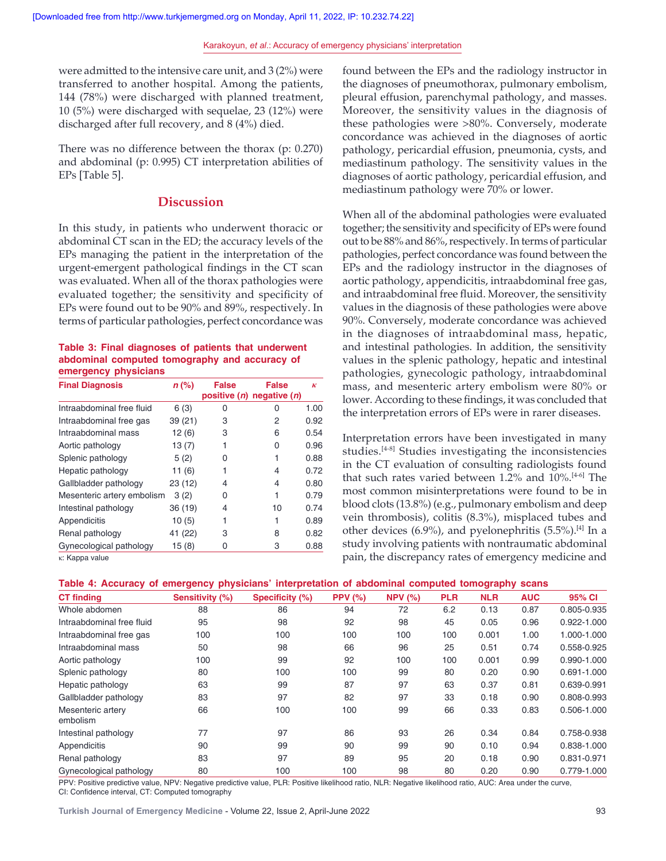were admitted to the intensive care unit, and 3 (2%) were transferred to another hospital. Among the patients, 144 (78%) were discharged with planned treatment, 10 (5%) were discharged with sequelae, 23 (12%) were discharged after full recovery, and 8 (4%) died.

There was no difference between the thorax (p: 0.270) and abdominal (p: 0.995) CT interpretation abilities of EPs [Table 5].

# **Discussion**

In this study, in patients who underwent thoracic or abdominal CT scan in the ED; the accuracy levels of the EPs managing the patient in the interpretation of the urgent‑emergent pathological findings in the CT scan was evaluated. When all of the thorax pathologies were evaluated together; the sensitivity and specificity of EPs were found out to be 90% and 89%, respectively. In terms of particular pathologies, perfect concordance was

#### **Table 3: Final diagnoses of patients that underwent abdominal computed tomography and accuracy of emergency physicians**

| <b>Final Diagnosis</b>     | $n$ (%) | <b>False</b> | <b>False</b><br>positive (n) negative (n) | ĸ    |
|----------------------------|---------|--------------|-------------------------------------------|------|
| Intraabdominal free fluid  | 6(3)    | 0            | O                                         | 1.00 |
| Intraabdominal free gas    | 39 (21) | 3            | 2                                         | 0.92 |
| Intraabdominal mass        | 12(6)   | 3            | 6                                         | 0.54 |
| Aortic pathology           | 13(7)   |              | 0                                         | 0.96 |
| Splenic pathology          | 5(2)    | 0            |                                           | 0.88 |
| Hepatic pathology          | 11 (6)  |              | 4                                         | 0.72 |
| Gallbladder pathology      | 23 (12) | 4            | 4                                         | 0.80 |
| Mesenteric artery embolism | 3(2)    | 0            |                                           | 0.79 |
| Intestinal pathology       | 36 (19) | 4            | 10                                        | 0.74 |
| Appendicitis               | 10(5)   |              |                                           | 0.89 |
| Renal pathology            | 41 (22) | 3            | 8                                         | 0.82 |
| Gynecological pathology    | 15 (8)  | 0            | 3                                         | 0.88 |

κ: Kappa value

found between the EPs and the radiology instructor in the diagnoses of pneumothorax, pulmonary embolism, pleural effusion, parenchymal pathology, and masses. Moreover, the sensitivity values in the diagnosis of these pathologies were >80%. Conversely, moderate concordance was achieved in the diagnoses of aortic pathology, pericardial effusion, pneumonia, cysts, and mediastinum pathology. The sensitivity values in the diagnoses of aortic pathology, pericardial effusion, and mediastinum pathology were 70% or lower.

When all of the abdominal pathologies were evaluated together; the sensitivity and specificity of EPs were found out to be 88% and 86%, respectively. In terms of particular pathologies, perfect concordance was found between the EPs and the radiology instructor in the diagnoses of aortic pathology, appendicitis, intraabdominal free gas, and intraabdominal free fluid. Moreover, the sensitivity values in the diagnosis of these pathologies were above 90%. Conversely, moderate concordance was achieved in the diagnoses of intraabdominal mass, hepatic, and intestinal pathologies. In addition, the sensitivity values in the splenic pathology, hepatic and intestinal pathologies, gynecologic pathology, intraabdominal mass, and mesenteric artery embolism were 80% or lower. According to these findings, it was concluded that the interpretation errors of EPs were in rarer diseases.

Interpretation errors have been investigated in many studies.<sup>[4-8]</sup> Studies investigating the inconsistencies in the CT evaluation of consulting radiologists found that such rates varied between 1.2% and 10%.<sup>[4-6]</sup> The most common misinterpretations were found to be in blood clots (13.8%) (e.g., pulmonary embolism and deep vein thrombosis), colitis (8.3%), misplaced tubes and other devices  $(6.9\%)$ , and pyelonephritis  $(5.5\%)$ .<sup>[4]</sup> In a study involving patients with nontraumatic abdominal pain, the discrepancy rates of emergency medicine and

|  |  | Table 4: Accuracy of emergency physicians' interpretation of abdominal computed tomography scans |  |  |  |
|--|--|--------------------------------------------------------------------------------------------------|--|--|--|
|--|--|--------------------------------------------------------------------------------------------------|--|--|--|

|                               |                 |                 |           |        |            | -----      |            |                 |
|-------------------------------|-----------------|-----------------|-----------|--------|------------|------------|------------|-----------------|
| <b>CT</b> finding             | Sensitivity (%) | Specificity (%) | PPV $(%)$ | NPV(%) | <b>PLR</b> | <b>NLR</b> | <b>AUC</b> | 95% CI          |
| Whole abdomen                 | 88              | 86              | 94        | 72     | 6.2        | 0.13       | 0.87       | 0.805-0.935     |
| Intraabdominal free fluid     | 95              | 98              | 92        | 98     | 45         | 0.05       | 0.96       | $0.922 - 1.000$ |
| Intraabdominal free gas       | 100             | 100             | 100       | 100    | 100        | 0.001      | 1.00       | 1.000-1.000     |
| Intraabdominal mass           | 50              | 98              | 66        | 96     | 25         | 0.51       | 0.74       | 0.558-0.925     |
| Aortic pathology              | 100             | 99              | 92        | 100    | 100        | 0.001      | 0.99       | 0.990-1.000     |
| Splenic pathology             | 80              | 100             | 100       | 99     | 80         | 0.20       | 0.90       | $0.691 - 1.000$ |
| Hepatic pathology             | 63              | 99              | 87        | 97     | 63         | 0.37       | 0.81       | 0.639-0.991     |
| Gallbladder pathology         | 83              | 97              | 82        | 97     | 33         | 0.18       | 0.90       | 0.808-0.993     |
| Mesenteric artery<br>embolism | 66              | 100             | 100       | 99     | 66         | 0.33       | 0.83       | 0.506-1.000     |
| Intestinal pathology          | 77              | 97              | 86        | 93     | 26         | 0.34       | 0.84       | 0.758-0.938     |
| Appendicitis                  | 90              | 99              | 90        | 99     | 90         | 0.10       | 0.94       | 0.838-1.000     |
| Renal pathology               | 83              | 97              | 89        | 95     | 20         | 0.18       | 0.90       | 0.831-0.971     |
| Gynecological pathology       | 80              | 100             | 100       | 98     | 80         | 0.20       | 0.90       | 0.779-1.000     |

PPV: Positive predictive value, NPV: Negative predictive value, PLR: Positive likelihood ratio, NLR: Negative likelihood ratio, AUC: Area under the curve, CI: Confidence interval, CT: Computed tomography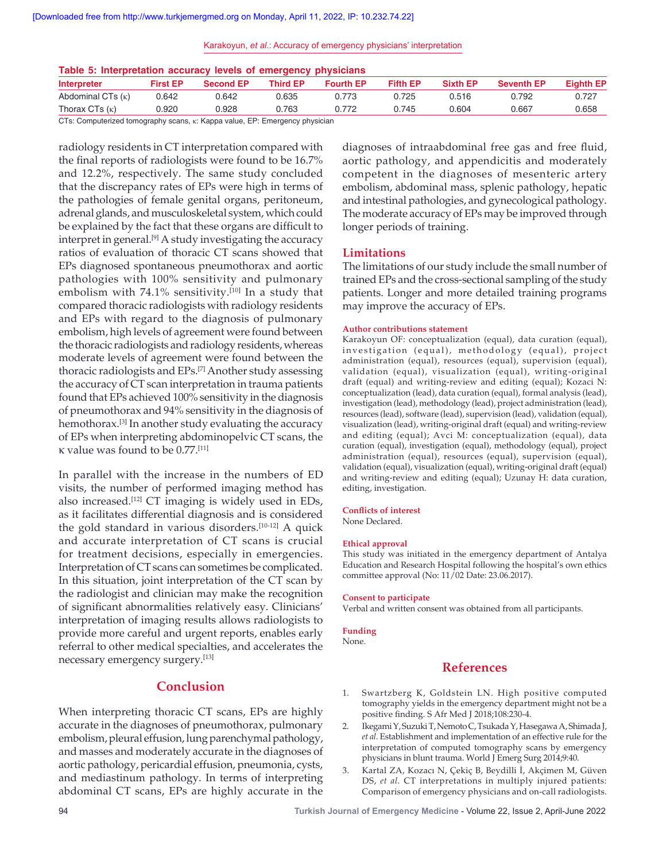Karakoyun, *et al*.: Accuracy of emergency physicians' interpretation

|  | Table 5: Interpretation accuracy levels of emergency physicians |  |  |  |  |
|--|-----------------------------------------------------------------|--|--|--|--|
|--|-----------------------------------------------------------------|--|--|--|--|

| Interpreter              | <b>First EP</b> | <b>Second EP</b> | <b>Third EP</b> | <b>Fourth EP</b> | <b>Fifth EP</b> | <b>Sixth EP</b> | <b>Seventh EP</b> | <b>Eighth EP</b> |
|--------------------------|-----------------|------------------|-----------------|------------------|-----------------|-----------------|-------------------|------------------|
| Abdominal CTs $(\kappa)$ | 0.642           | 0.642            | 0.635           | 0.773            | 0.725           | 0.516           | 0.792             | 0.727            |
| Thorax CTs $(\kappa)$    | 0.920.          | 0.928            | 0.763           | 0.772            | 0.745           | 0.604           | 0.667             | 0.658            |
|                          |                 |                  |                 |                  |                 |                 |                   |                  |

CTs: Computerized tomography scans, κ: Kappa value, EP: Emergency physician

radiology residents in CT interpretation compared with the final reports of radiologists were found to be 16.7% and 12.2%, respectively. The same study concluded that the discrepancy rates of EPs were high in terms of the pathologies of female genital organs, peritoneum, adrenal glands, and musculoskeletal system, which could be explained by the fact that these organs are difficult to interpret in general.<sup>[9]</sup> A study investigating the accuracy ratios of evaluation of thoracic CT scans showed that EPs diagnosed spontaneous pneumothorax and aortic pathologies with 100% sensitivity and pulmonary embolism with 74.1% sensitivity.<sup>[10]</sup> In a study that compared thoracic radiologists with radiology residents and EPs with regard to the diagnosis of pulmonary embolism, high levels of agreement were found between the thoracic radiologists and radiology residents, whereas moderate levels of agreement were found between the thoracic radiologists and EPs.[7] Another study assessing the accuracy of CT scan interpretation in trauma patients found that EPs achieved 100% sensitivity in the diagnosis of pneumothorax and 94% sensitivity in the diagnosis of hemothorax.<sup>[3]</sup> In another study evaluating the accuracy of EPs when interpreting abdominopelvic CT scans, the κ value was found to be 0.77.[11]

In parallel with the increase in the numbers of ED visits, the number of performed imaging method has also increased.[12] CT imaging is widely used in EDs, as it facilitates differential diagnosis and is considered the gold standard in various disorders.<sup>[10-12]</sup> A quick and accurate interpretation of CT scans is crucial for treatment decisions, especially in emergencies. Interpretation of CT scans can sometimes be complicated. In this situation, joint interpretation of the CT scan by the radiologist and clinician may make the recognition of significant abnormalities relatively easy. Clinicians' interpretation of imaging results allows radiologists to provide more careful and urgent reports, enables early referral to other medical specialties, and accelerates the necessary emergency surgery.[13]

# **Conclusion**

When interpreting thoracic CT scans, EPs are highly accurate in the diagnoses of pneumothorax, pulmonary embolism, pleural effusion, lung parenchymal pathology, and masses and moderately accurate in the diagnoses of aortic pathology, pericardial effusion, pneumonia, cysts, and mediastinum pathology. In terms of interpreting abdominal CT scans, EPs are highly accurate in the

diagnoses of intraabdominal free gas and free fluid, aortic pathology, and appendicitis and moderately competent in the diagnoses of mesenteric artery embolism, abdominal mass, splenic pathology, hepatic and intestinal pathologies, and gynecological pathology. The moderate accuracy of EPs may be improved through longer periods of training.

#### **Limitations**

The limitations of our study include the small number of trained EPs and the cross‑sectional sampling of the study patients. Longer and more detailed training programs may improve the accuracy of EPs.

#### **Author contributions statement**

Karakoyun OF: conceptualization (equal), data curation (equal), investigation (equal), methodology (equal), project administration (equal), resources (equal), supervision (equal), validation (equal), visualization (equal), writing-original draft (equal) and writing-review and editing (equal); Kozaci N: conceptualization (lead), data curation (equal), formal analysis (lead), investigation (lead), methodology (lead), project administration (lead), resources (lead), software (lead), supervision (lead), validation (equal), visualization (lead), writing‑original draft (equal) and writing‑review and editing (equal); Avci M: conceptualization (equal), data curation (equal), investigation (equal), methodology (equal), project administration (equal), resources (equal), supervision (equal), validation (equal), visualization (equal), writing‑original draft (equal) and writing-review and editing (equal); Uzunay H: data curation, editing, investigation.

#### **Conflicts of interest**

None Declared.

#### **Ethical approval**

This study was initiated in the emergency department of Antalya Education and Research Hospital following the hospital's own ethics committee approval (No: 11/02 Date: 23.06.2017).

#### **Consent to participate**

Verbal and written consent was obtained from all participants.

**Funding**

None.

## **References**

- 1. Swartzberg K, Goldstein LN. High positive computed tomography yields in the emergency department might not be a positive finding. S Afr Med J 2018;108:230-4.
- 2. IkegamiY, SuzukiT, NemotoC, TsukadaY, HasegawaA, Shimada J, *et al*. Establishment and implementation of an effective rule for the interpretation of computed tomography scans by emergency physicians in blunt trauma. World J Emerg Surg 2014;9:40.
- 3. Kartal ZA, Kozacı N, Çekiç B, Beydilli İ, Akçimen M, Güven DS, *et al.* CT interpretations in multiply injured patients: Comparison of emergency physicians and on‑call radiologists.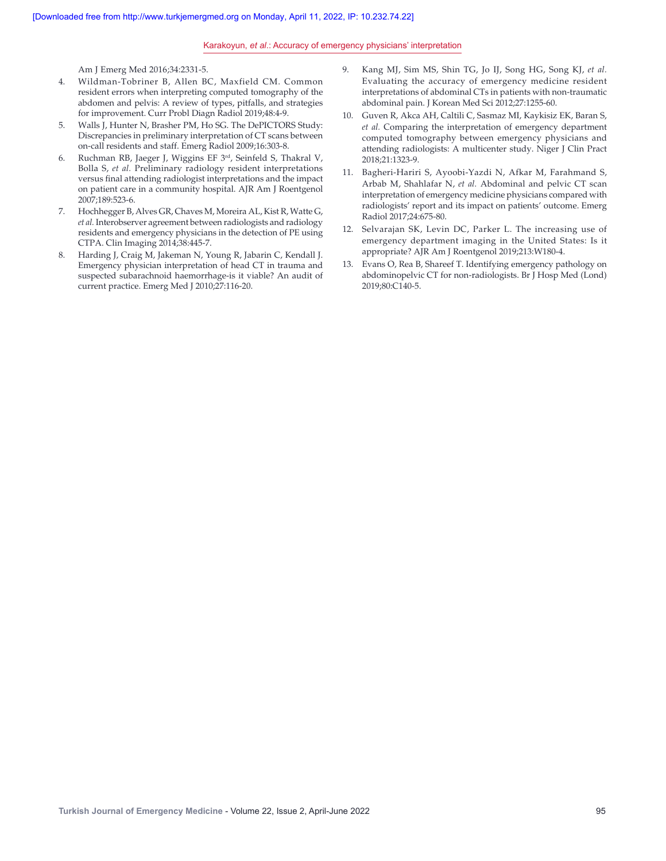#### Karakoyun, *et al*.: Accuracy of emergency physicians' interpretation

Am J Emerg Med 2016;34:2331‑5.

- 4. Wildman‑Tobriner B, Allen BC, Maxfield CM. Common resident errors when interpreting computed tomography of the abdomen and pelvis: A review of types, pitfalls, and strategies for improvement. Curr Probl Diagn Radiol 2019;48:4‑9.
- 5. Walls J, Hunter N, Brasher PM, Ho SG. The DePICTORS Study: Discrepancies in preliminary interpretation of CT scans between on‑call residents and staff. Emerg Radiol 2009;16:303‑8.
- 6. Ruchman RB, Jaeger J, Wiggins EF 3rd, Seinfeld S, Thakral V, Bolla S, *et al.* Preliminary radiology resident interpretations versus final attending radiologist interpretations and the impact on patient care in a community hospital. AJR Am J Roentgenol 2007;189:523‑6.
- 7. Hochhegger B, Alves GR, Chaves M, Moreira AL, Kist R, Watte G, *et al.* Interobserver agreement between radiologists and radiology residents and emergency physicians in the detection of PE using CTPA. Clin Imaging 2014;38:445‑7.
- 8. Harding J, Craig M, Jakeman N, Young R, Jabarin C, Kendall J. Emergency physician interpretation of head CT in trauma and suspected subarachnoid haemorrhage‑is it viable? An audit of current practice. Emerg Med J 2010;27:116‑20.
- 9. Kang MJ, Sim MS, Shin TG, Jo IJ, Song HG, Song KJ, *et al.* Evaluating the accuracy of emergency medicine resident interpretations of abdominal CTs in patients with non-traumatic abdominal pain. J Korean Med Sci 2012;27:1255‑60.
- 10. Guven R, Akca AH, Caltili C, Sasmaz MI, Kaykisiz EK, Baran S, *et al.* Comparing the interpretation of emergency department computed tomography between emergency physicians and attending radiologists: A multicenter study. Niger J Clin Pract 2018;21:1323‑9.
- 11. Bagheri-Hariri S, Ayoobi-Yazdi N, Afkar M, Farahmand S, Arbab M, Shahlafar N, *et al.* Abdominal and pelvic CT scan interpretation of emergency medicine physicians compared with radiologists' report and its impact on patients' outcome. Emerg Radiol 2017;24:675‑80.
- 12. Selvarajan SK, Levin DC, Parker L. The increasing use of emergency department imaging in the United States: Is it appropriate? AJR Am J Roentgenol 2019;213:W180-4.
- 13. Evans O, Rea B, Shareef T. Identifying emergency pathology on abdominopelvic CT for non-radiologists. Br J Hosp Med (Lond) 2019;80:C140‑5.